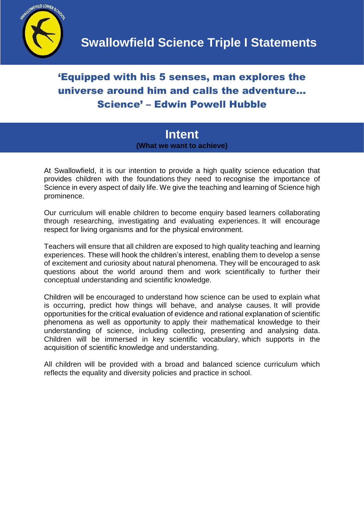

## 'Equipped with his 5 senses, man explores the universe around him and calls the adventure… Science' – Edwin Powell Hubble

**Intent (What we want to achieve)**

At Swallowfield, it is our intention to provide a high quality science education that provides children with the foundations they need to recognise the importance of Science in every aspect of daily life. We give the teaching and learning of Science high prominence.

Our curriculum will enable children to become enquiry based learners collaborating through researching, investigating and evaluating experiences. It will encourage respect for living organisms and for the physical environment.

Teachers will ensure that all children are exposed to high quality teaching and learning experiences. These will hook the children's interest, enabling them to develop a sense of excitement and curiosity about natural phenomena. They will be encouraged to ask questions about the world around them and work scientifically to further their conceptual understanding and scientific knowledge.

Children will be encouraged to understand how science can be used to explain what is occurring, predict how things will behave, and analyse causes. It will provide opportunities for the critical evaluation of evidence and rational explanation of scientific phenomena as well as opportunity to apply their mathematical knowledge to their understanding of science, including collecting, presenting and analysing data. Children will be immersed in key scientific vocabulary, which supports in the acquisition of scientific knowledge and understanding.

All children will be provided with a broad and balanced science curriculum which reflects the equality and diversity policies and practice in school.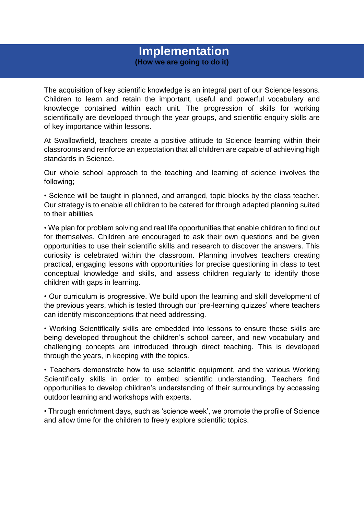## **Implementation (How we are going to do it)**

The acquisition of key scientific knowledge is an integral part of our Science lessons. Children to learn and retain the important, useful and powerful vocabulary and knowledge contained within each unit. The progression of skills for working scientifically are developed through the year groups, and scientific enquiry skills are of key importance within lessons.

At Swallowfield, teachers create a positive attitude to Science learning within their classrooms and reinforce an expectation that all children are capable of achieving high standards in Science.

Our whole school approach to the teaching and learning of science involves the following;

• Science will be taught in planned, and arranged, topic blocks by the class teacher. Our strategy is to enable all children to be catered for through adapted planning suited to their abilities

• We plan for problem solving and real life opportunities that enable children to find out for themselves. Children are encouraged to ask their own questions and be given opportunities to use their scientific skills and research to discover the answers. This curiosity is celebrated within the classroom. Planning involves teachers creating practical, engaging lessons with opportunities for precise questioning in class to test conceptual knowledge and skills, and assess children regularly to identify those children with gaps in learning.

• Our curriculum is progressive. We build upon the learning and skill development of the previous years, which is tested through our 'pre-learning quizzes' where teachers can identify misconceptions that need addressing.

• Working Scientifically skills are embedded into lessons to ensure these skills are being developed throughout the children's school career, and new vocabulary and challenging concepts are introduced through direct teaching. This is developed through the years, in keeping with the topics.

• Teachers demonstrate how to use scientific equipment, and the various Working Scientifically skills in order to embed scientific understanding. Teachers find opportunities to develop children's understanding of their surroundings by accessing outdoor learning and workshops with experts.

• Through enrichment days, such as 'science week', we promote the profile of Science and allow time for the children to freely explore scientific topics.